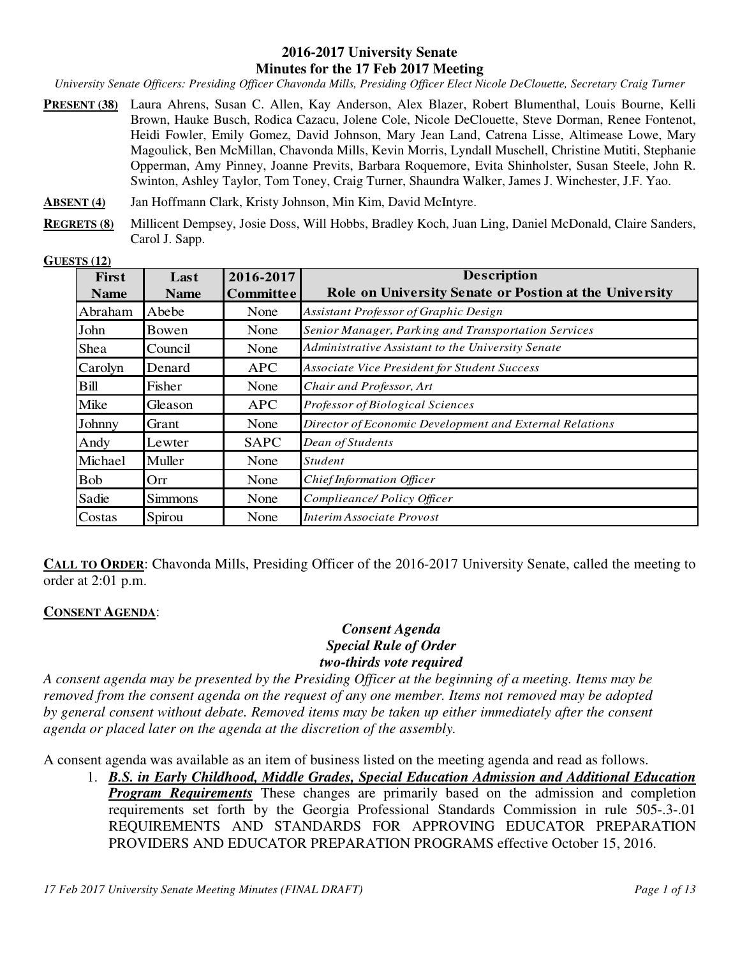#### **2016-2017 University Senate Minutes for the 17 Feb 2017 Meeting**

*University Senate Officers: Presiding Officer Chavonda Mills, Presiding Officer Elect Nicole DeClouette, Secretary Craig Turner* 

- **PRESENT (38)** Laura Ahrens, Susan C. Allen, Kay Anderson, Alex Blazer, Robert Blumenthal, Louis Bourne, Kelli Brown, Hauke Busch, Rodica Cazacu, Jolene Cole, Nicole DeClouette, Steve Dorman, Renee Fontenot, Heidi Fowler, Emily Gomez, David Johnson, Mary Jean Land, Catrena Lisse, Altimease Lowe, Mary Magoulick, Ben McMillan, Chavonda Mills, Kevin Morris, Lyndall Muschell, Christine Mutiti, Stephanie Opperman, Amy Pinney, Joanne Previts, Barbara Roquemore, Evita Shinholster, Susan Steele, John R. Swinton, Ashley Taylor, Tom Toney, Craig Turner, Shaundra Walker, James J. Winchester, J.F. Yao.
- **ABSENT (4)** Jan Hoffmann Clark, Kristy Johnson, Min Kim, David McIntyre.
- **REGRETS (8)** Millicent Dempsey, Josie Doss, Will Hobbs, Bradley Koch, Juan Ling, Daniel McDonald, Claire Sanders, Carol J. Sapp.

| <b>GUESTS (12)</b> |  |
|--------------------|--|
|                    |  |

| (10(12)<br>First<br><b>Name</b> | Last<br><b>Name</b> | 2016-2017<br><b>Committee</b> | <b>Description</b><br>Role on University Senate or Postion at the University |
|---------------------------------|---------------------|-------------------------------|------------------------------------------------------------------------------|
| Abraham                         | Abebe               | None                          | Assistant Professor of Graphic Design                                        |
| John                            | Bowen               | None                          | Senior Manager, Parking and Transportation Services                          |
| Shea                            | Council             | None                          | Administrative Assistant to the University Senate                            |
| Carolyn                         | Denard              | <b>APC</b>                    | <b>Associate Vice President for Student Success</b>                          |
| Bill                            | Fisher              | None                          | Chair and Professor, Art                                                     |
| Mike                            | Gleason             | <b>APC</b>                    | Professor of Biological Sciences                                             |
| Johnny                          | Grant               | None                          | Director of Economic Development and External Relations                      |
| Andy                            | Lewter              | <b>SAPC</b>                   | Dean of Students                                                             |
| Michael                         | Muller              | None                          | <b>Student</b>                                                               |
| <b>Bob</b>                      | Orr                 | None                          | Chief Information Officer                                                    |
| Sadie                           | <b>Simmons</b>      | None                          | Complieance/ Policy Officer                                                  |
| Costas                          | Spirou              | None                          | Interim Associate Provost                                                    |

**CALL TO ORDER:** Chavonda Mills, Presiding Officer of the 2016-2017 University Senate, called the meeting to order at 2:01 p.m.

#### **CONSENT AGENDA**:

### *Consent Agenda Special Rule of Order two-thirds vote required*

*A consent agenda may be presented by the Presiding Officer at the beginning of a meeting. Items may be removed from the consent agenda on the request of any one member. Items not removed may be adopted by general consent without debate. Removed items may be taken up either immediately after the consent agenda or placed later on the agenda at the discretion of the assembly.* 

A consent agenda was available as an item of business listed on the meeting agenda and read as follows.

1. *B.S. in Early Childhood, Middle Grades, Special Education Admission and Additional Education Program Requirements* These changes are primarily based on the admission and completion requirements set forth by the Georgia Professional Standards Commission in rule 505-.3-.01 REQUIREMENTS AND STANDARDS FOR APPROVING EDUCATOR PREPARATION PROVIDERS AND EDUCATOR PREPARATION PROGRAMS effective October 15, 2016.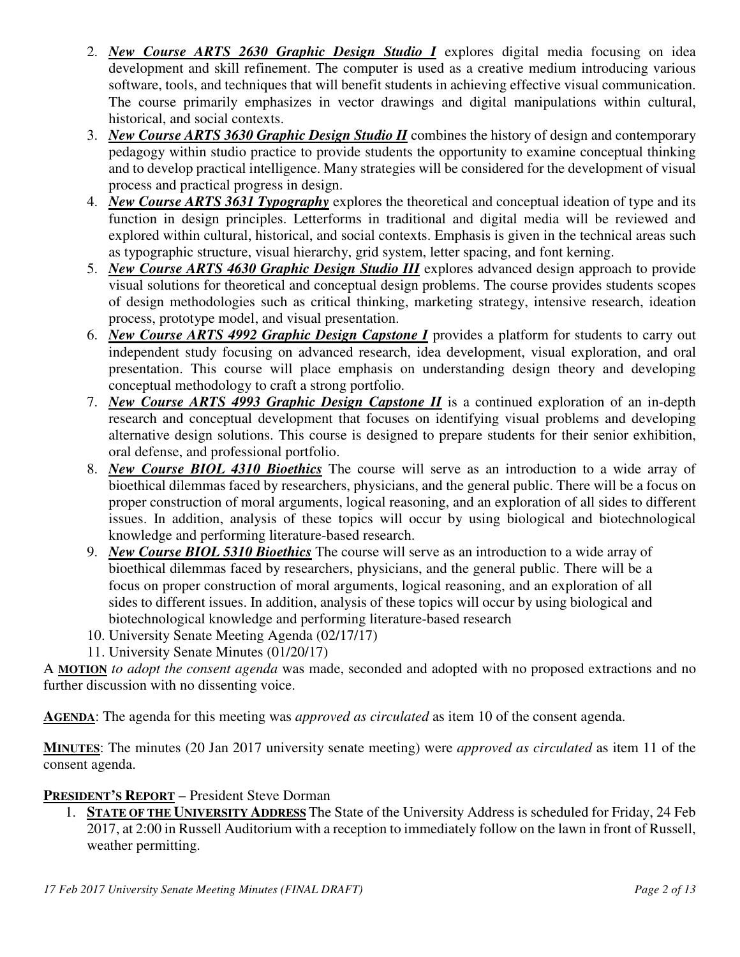- 2. *New Course ARTS 2630 Graphic Design Studio I* explores digital media focusing on idea development and skill refinement. The computer is used as a creative medium introducing various software, tools, and techniques that will benefit students in achieving effective visual communication. The course primarily emphasizes in vector drawings and digital manipulations within cultural, historical, and social contexts.
- 3. *New Course ARTS 3630 Graphic Design Studio II* combines the history of design and contemporary pedagogy within studio practice to provide students the opportunity to examine conceptual thinking and to develop practical intelligence. Many strategies will be considered for the development of visual process and practical progress in design.
- 4. *New Course ARTS 3631 Typography* explores the theoretical and conceptual ideation of type and its function in design principles. Letterforms in traditional and digital media will be reviewed and explored within cultural, historical, and social contexts. Emphasis is given in the technical areas such as typographic structure, visual hierarchy, grid system, letter spacing, and font kerning.
- 5. *New Course ARTS 4630 Graphic Design Studio III* explores advanced design approach to provide visual solutions for theoretical and conceptual design problems. The course provides students scopes of design methodologies such as critical thinking, marketing strategy, intensive research, ideation process, prototype model, and visual presentation.
- 6. *New Course ARTS 4992 Graphic Design Capstone I* provides a platform for students to carry out independent study focusing on advanced research, idea development, visual exploration, and oral presentation. This course will place emphasis on understanding design theory and developing conceptual methodology to craft a strong portfolio.
- 7. *New Course ARTS 4993 Graphic Design Capstone II* is a continued exploration of an in-depth research and conceptual development that focuses on identifying visual problems and developing alternative design solutions. This course is designed to prepare students for their senior exhibition, oral defense, and professional portfolio.
- 8. *New Course BIOL 4310 Bioethics* The course will serve as an introduction to a wide array of bioethical dilemmas faced by researchers, physicians, and the general public. There will be a focus on proper construction of moral arguments, logical reasoning, and an exploration of all sides to different issues. In addition, analysis of these topics will occur by using biological and biotechnological knowledge and performing literature-based research.
- 9. *New Course BIOL 5310 Bioethics* The course will serve as an introduction to a wide array of bioethical dilemmas faced by researchers, physicians, and the general public. There will be a focus on proper construction of moral arguments, logical reasoning, and an exploration of all sides to different issues. In addition, analysis of these topics will occur by using biological and biotechnological knowledge and performing literature-based research
- 10. University Senate Meeting Agenda (02/17/17)
- 11. University Senate Minutes (01/20/17)

A **MOTION** *to adopt the consent agenda* was made, seconded and adopted with no proposed extractions and no further discussion with no dissenting voice.

**AGENDA**: The agenda for this meeting was *approved as circulated* as item 10 of the consent agenda.

**MINUTES**: The minutes (20 Jan 2017 university senate meeting) were *approved as circulated* as item 11 of the consent agenda.

# **PRESIDENT'S REPORT** – President Steve Dorman

1. **STATE OF THE UNIVERSITY ADDRESS** The State of the University Address is scheduled for Friday, 24 Feb 2017, at 2:00 in Russell Auditorium with a reception to immediately follow on the lawn in front of Russell, weather permitting.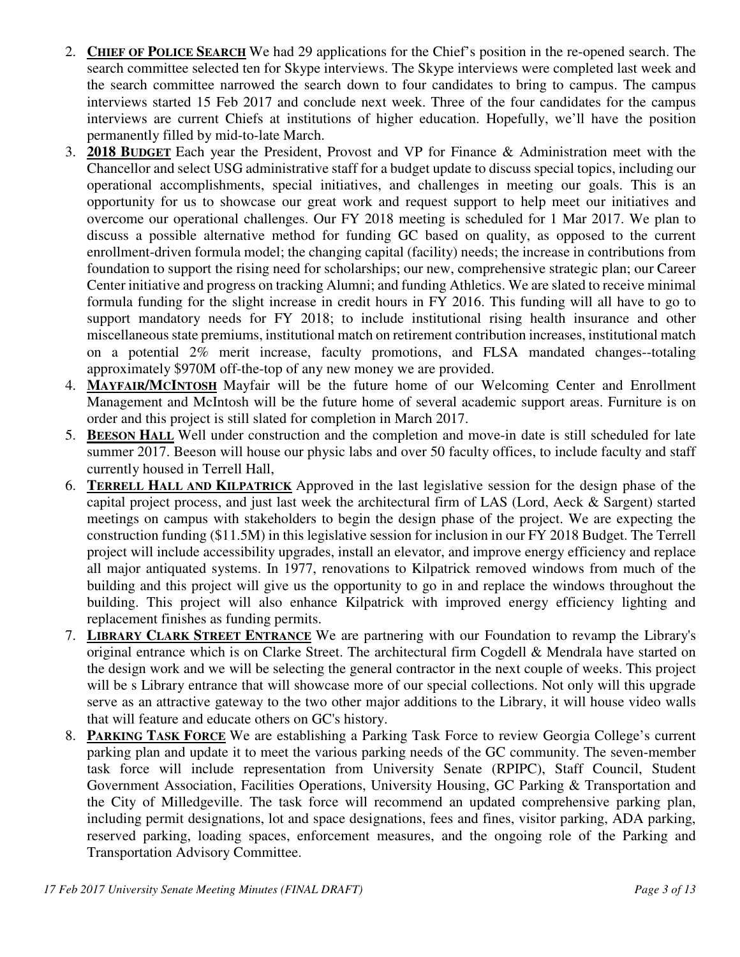- 2. **CHIEF OF POLICE SEARCH** We had 29 applications for the Chief's position in the re-opened search. The search committee selected ten for Skype interviews. The Skype interviews were completed last week and the search committee narrowed the search down to four candidates to bring to campus. The campus interviews started 15 Feb 2017 and conclude next week. Three of the four candidates for the campus interviews are current Chiefs at institutions of higher education. Hopefully, we'll have the position permanently filled by mid-to-late March.
- 3. **2018 BUDGET** Each year the President, Provost and VP for Finance & Administration meet with the Chancellor and select USG administrative staff for a budget update to discuss special topics, including our operational accomplishments, special initiatives, and challenges in meeting our goals. This is an opportunity for us to showcase our great work and request support to help meet our initiatives and overcome our operational challenges. Our FY 2018 meeting is scheduled for 1 Mar 2017. We plan to discuss a possible alternative method for funding GC based on quality, as opposed to the current enrollment-driven formula model; the changing capital (facility) needs; the increase in contributions from foundation to support the rising need for scholarships; our new, comprehensive strategic plan; our Career Center initiative and progress on tracking Alumni; and funding Athletics. We are slated to receive minimal formula funding for the slight increase in credit hours in FY 2016. This funding will all have to go to support mandatory needs for FY 2018; to include institutional rising health insurance and other miscellaneous state premiums, institutional match on retirement contribution increases, institutional match on a potential 2% merit increase, faculty promotions, and FLSA mandated changes--totaling approximately \$970M off-the-top of any new money we are provided.
- 4. **MAYFAIR/MCINTOSH** Mayfair will be the future home of our Welcoming Center and Enrollment Management and McIntosh will be the future home of several academic support areas. Furniture is on order and this project is still slated for completion in March 2017.
- 5. **BEESON HALL** Well under construction and the completion and move-in date is still scheduled for late summer 2017. Beeson will house our physic labs and over 50 faculty offices, to include faculty and staff currently housed in Terrell Hall,
- 6. **TERRELL HALL AND KILPATRICK** Approved in the last legislative session for the design phase of the capital project process, and just last week the architectural firm of LAS (Lord, Aeck & Sargent) started meetings on campus with stakeholders to begin the design phase of the project. We are expecting the construction funding (\$11.5M) in this legislative session for inclusion in our FY 2018 Budget. The Terrell project will include accessibility upgrades, install an elevator, and improve energy efficiency and replace all major antiquated systems. In 1977, renovations to Kilpatrick removed windows from much of the building and this project will give us the opportunity to go in and replace the windows throughout the building. This project will also enhance Kilpatrick with improved energy efficiency lighting and replacement finishes as funding permits.
- 7. **LIBRARY CLARK STREET ENTRANCE** We are partnering with our Foundation to revamp the Library's original entrance which is on Clarke Street. The architectural firm Cogdell & Mendrala have started on the design work and we will be selecting the general contractor in the next couple of weeks. This project will be s Library entrance that will showcase more of our special collections. Not only will this upgrade serve as an attractive gateway to the two other major additions to the Library, it will house video walls that will feature and educate others on GC's history.
- 8. **PARKING TASK FORCE** We are establishing a Parking Task Force to review Georgia College's current parking plan and update it to meet the various parking needs of the GC community. The seven-member task force will include representation from University Senate (RPIPC), Staff Council, Student Government Association, Facilities Operations, University Housing, GC Parking & Transportation and the City of Milledgeville. The task force will recommend an updated comprehensive parking plan, including permit designations, lot and space designations, fees and fines, visitor parking, ADA parking, reserved parking, loading spaces, enforcement measures, and the ongoing role of the Parking and Transportation Advisory Committee.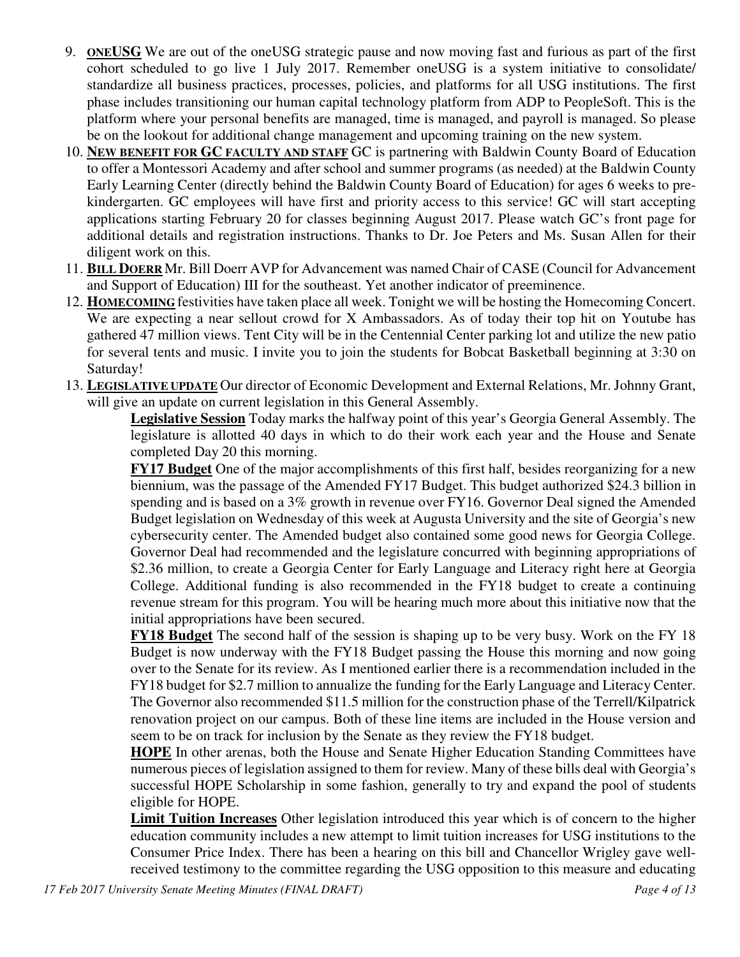- 9. **ONEUSG** We are out of the oneUSG strategic pause and now moving fast and furious as part of the first cohort scheduled to go live 1 July 2017. Remember oneUSG is a system initiative to consolidate/ standardize all business practices, processes, policies, and platforms for all USG institutions. The first phase includes transitioning our human capital technology platform from ADP to PeopleSoft. This is the platform where your personal benefits are managed, time is managed, and payroll is managed. So please be on the lookout for additional change management and upcoming training on the new system.
- 10. **NEW BENEFIT FOR GC FACULTY AND STAFF** GC is partnering with Baldwin County Board of Education to offer a Montessori Academy and after school and summer programs (as needed) at the Baldwin County Early Learning Center (directly behind the Baldwin County Board of Education) for ages 6 weeks to prekindergarten. GC employees will have first and priority access to this service! GC will start accepting applications starting February 20 for classes beginning August 2017. Please watch GC's front page for additional details and registration instructions. Thanks to Dr. Joe Peters and Ms. Susan Allen for their diligent work on this.
- 11. **BILL DOERR** Mr. Bill Doerr AVP for Advancement was named Chair of CASE (Council for Advancement and Support of Education) III for the southeast. Yet another indicator of preeminence.
- 12. **HOMECOMING** festivities have taken place all week. Tonight we will be hosting the Homecoming Concert. We are expecting a near sellout crowd for X Ambassadors. As of today their top hit on Youtube has gathered 47 million views. Tent City will be in the Centennial Center parking lot and utilize the new patio for several tents and music. I invite you to join the students for Bobcat Basketball beginning at 3:30 on Saturday!
- 13. **LEGISLATIVE UPDATE** Our director of Economic Development and External Relations, Mr. Johnny Grant, will give an update on current legislation in this General Assembly.

**Legislative Session** Today marks the halfway point of this year's Georgia General Assembly. The legislature is allotted 40 days in which to do their work each year and the House and Senate completed Day 20 this morning.

**FY17 Budget** One of the major accomplishments of this first half, besides reorganizing for a new biennium, was the passage of the Amended FY17 Budget. This budget authorized \$24.3 billion in spending and is based on a 3% growth in revenue over FY16. Governor Deal signed the Amended Budget legislation on Wednesday of this week at Augusta University and the site of Georgia's new cybersecurity center. The Amended budget also contained some good news for Georgia College. Governor Deal had recommended and the legislature concurred with beginning appropriations of \$2.36 million, to create a Georgia Center for Early Language and Literacy right here at Georgia College. Additional funding is also recommended in the FY18 budget to create a continuing revenue stream for this program. You will be hearing much more about this initiative now that the initial appropriations have been secured.

**FY18 Budget** The second half of the session is shaping up to be very busy. Work on the FY 18 Budget is now underway with the FY18 Budget passing the House this morning and now going over to the Senate for its review. As I mentioned earlier there is a recommendation included in the FY18 budget for \$2.7 million to annualize the funding for the Early Language and Literacy Center. The Governor also recommended \$11.5 million for the construction phase of the Terrell/Kilpatrick renovation project on our campus. Both of these line items are included in the House version and seem to be on track for inclusion by the Senate as they review the FY18 budget.

**HOPE** In other arenas, both the House and Senate Higher Education Standing Committees have numerous pieces of legislation assigned to them for review. Many of these bills deal with Georgia's successful HOPE Scholarship in some fashion, generally to try and expand the pool of students eligible for HOPE.

**Limit Tuition Increases** Other legislation introduced this year which is of concern to the higher education community includes a new attempt to limit tuition increases for USG institutions to the Consumer Price Index. There has been a hearing on this bill and Chancellor Wrigley gave wellreceived testimony to the committee regarding the USG opposition to this measure and educating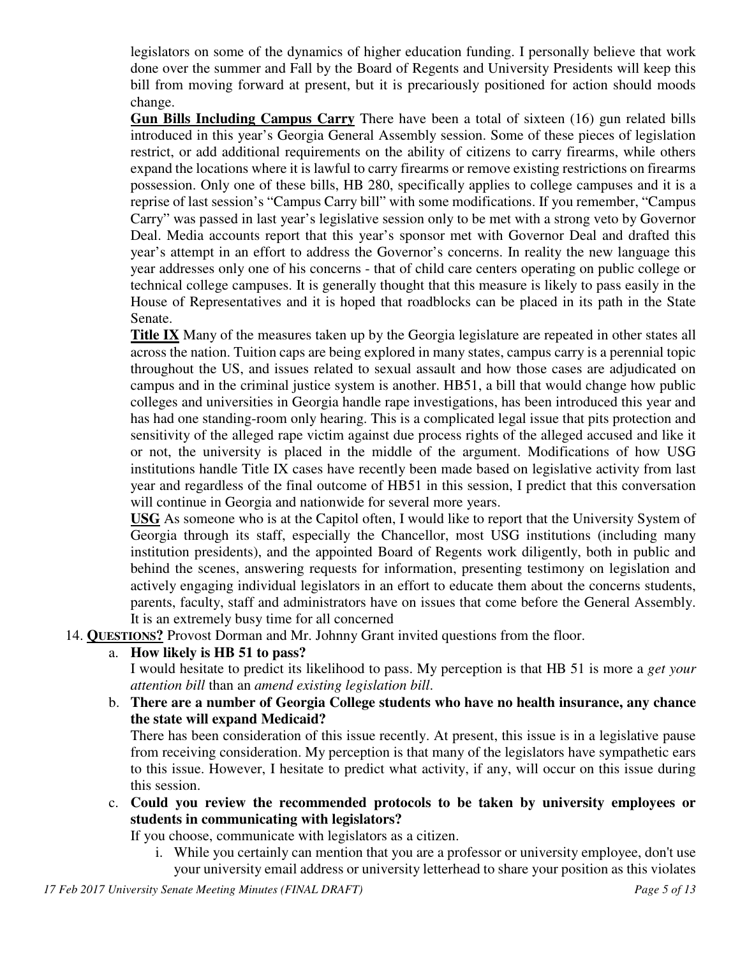legislators on some of the dynamics of higher education funding. I personally believe that work done over the summer and Fall by the Board of Regents and University Presidents will keep this bill from moving forward at present, but it is precariously positioned for action should moods change.

**Gun Bills Including Campus Carry** There have been a total of sixteen (16) gun related bills introduced in this year's Georgia General Assembly session. Some of these pieces of legislation restrict, or add additional requirements on the ability of citizens to carry firearms, while others expand the locations where it is lawful to carry firearms or remove existing restrictions on firearms possession. Only one of these bills, HB 280, specifically applies to college campuses and it is a reprise of last session's "Campus Carry bill" with some modifications. If you remember, "Campus Carry" was passed in last year's legislative session only to be met with a strong veto by Governor Deal. Media accounts report that this year's sponsor met with Governor Deal and drafted this year's attempt in an effort to address the Governor's concerns. In reality the new language this year addresses only one of his concerns - that of child care centers operating on public college or technical college campuses. It is generally thought that this measure is likely to pass easily in the House of Representatives and it is hoped that roadblocks can be placed in its path in the State Senate.

**Title IX** Many of the measures taken up by the Georgia legislature are repeated in other states all across the nation. Tuition caps are being explored in many states, campus carry is a perennial topic throughout the US, and issues related to sexual assault and how those cases are adjudicated on campus and in the criminal justice system is another. HB51, a bill that would change how public colleges and universities in Georgia handle rape investigations, has been introduced this year and has had one standing-room only hearing. This is a complicated legal issue that pits protection and sensitivity of the alleged rape victim against due process rights of the alleged accused and like it or not, the university is placed in the middle of the argument. Modifications of how USG institutions handle Title IX cases have recently been made based on legislative activity from last year and regardless of the final outcome of HB51 in this session, I predict that this conversation will continue in Georgia and nationwide for several more years.

**USG** As someone who is at the Capitol often, I would like to report that the University System of Georgia through its staff, especially the Chancellor, most USG institutions (including many institution presidents), and the appointed Board of Regents work diligently, both in public and behind the scenes, answering requests for information, presenting testimony on legislation and actively engaging individual legislators in an effort to educate them about the concerns students, parents, faculty, staff and administrators have on issues that come before the General Assembly. It is an extremely busy time for all concerned

- 14. **QUESTIONS?** Provost Dorman and Mr. Johnny Grant invited questions from the floor.
	- a. **How likely is HB 51 to pass?**

I would hesitate to predict its likelihood to pass. My perception is that HB 51 is more a *get your attention bill* than an *amend existing legislation bill*.

b. **There are a number of Georgia College students who have no health insurance, any chance the state will expand Medicaid?**

There has been consideration of this issue recently. At present, this issue is in a legislative pause from receiving consideration. My perception is that many of the legislators have sympathetic ears to this issue. However, I hesitate to predict what activity, if any, will occur on this issue during this session.

c. **Could you review the recommended protocols to be taken by university employees or students in communicating with legislators?**

If you choose, communicate with legislators as a citizen.

i. While you certainly can mention that you are a professor or university employee, don't use your university email address or university letterhead to share your position as this violates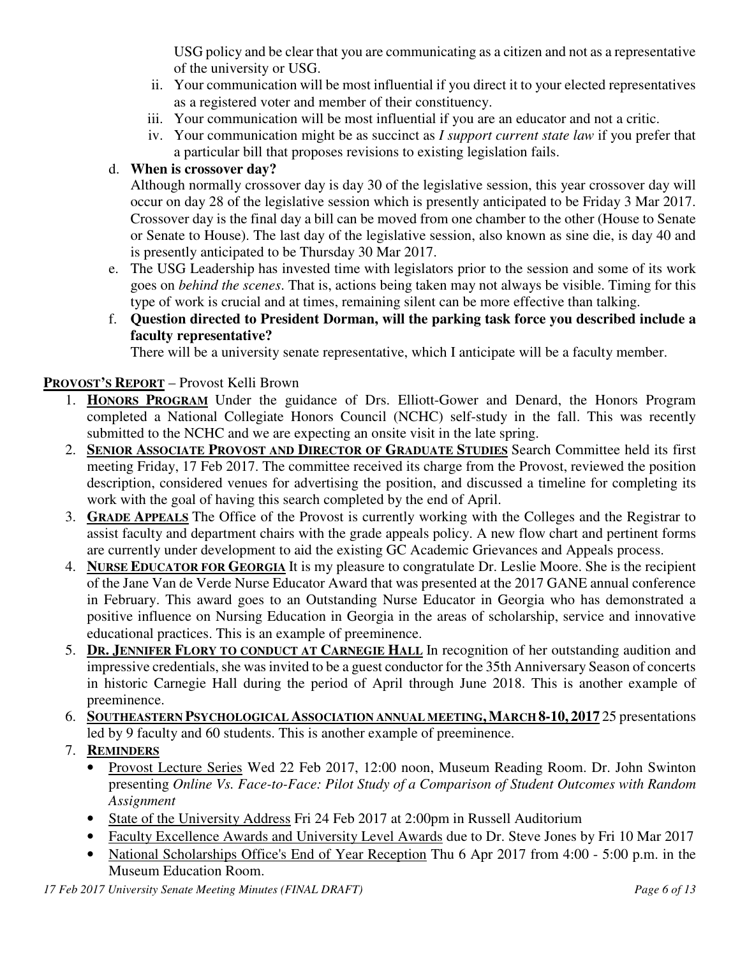USG policy and be clear that you are communicating as a citizen and not as a representative of the university or USG.

- ii. Your communication will be most influential if you direct it to your elected representatives as a registered voter and member of their constituency.
- iii. Your communication will be most influential if you are an educator and not a critic.
- iv. Your communication might be as succinct as *I support current state law* if you prefer that a particular bill that proposes revisions to existing legislation fails.

## d. **When is crossover day?**

Although normally crossover day is day 30 of the legislative session, this year crossover day will occur on day 28 of the legislative session which is presently anticipated to be Friday 3 Mar 2017. Crossover day is the final day a bill can be moved from one chamber to the other (House to Senate or Senate to House). The last day of the legislative session, also known as sine die, is day 40 and is presently anticipated to be Thursday 30 Mar 2017.

- e. The USG Leadership has invested time with legislators prior to the session and some of its work goes on *behind the scenes*. That is, actions being taken may not always be visible. Timing for this type of work is crucial and at times, remaining silent can be more effective than talking.
- f. **Question directed to President Dorman, will the parking task force you described include a faculty representative?**

There will be a university senate representative, which I anticipate will be a faculty member.

## **PROVOST'S REPORT** – Provost Kelli Brown

- 1. **HONORS PROGRAM** Under the guidance of Drs. Elliott-Gower and Denard, the Honors Program completed a National Collegiate Honors Council (NCHC) self-study in the fall. This was recently submitted to the NCHC and we are expecting an onsite visit in the late spring.
- 2. **SENIOR ASSOCIATE PROVOST AND DIRECTOR OF GRADUATE STUDIES** Search Committee held its first meeting Friday, 17 Feb 2017. The committee received its charge from the Provost, reviewed the position description, considered venues for advertising the position, and discussed a timeline for completing its work with the goal of having this search completed by the end of April.
- 3. **GRADE APPEALS** The Office of the Provost is currently working with the Colleges and the Registrar to assist faculty and department chairs with the grade appeals policy. A new flow chart and pertinent forms are currently under development to aid the existing GC Academic Grievances and Appeals process.
- 4. **NURSE EDUCATOR FOR GEORGIA** It is my pleasure to congratulate Dr. Leslie Moore. She is the recipient of the Jane Van de Verde Nurse Educator Award that was presented at the 2017 GANE annual conference in February. This award goes to an Outstanding Nurse Educator in Georgia who has demonstrated a positive influence on Nursing Education in Georgia in the areas of scholarship, service and innovative educational practices. This is an example of preeminence.
- 5. **DR. JENNIFER FLORY TO CONDUCT AT CARNEGIE HALL** In recognition of her outstanding audition and impressive credentials, she was invited to be a guest conductor for the 35th Anniversary Season of concerts in historic Carnegie Hall during the period of April through June 2018. This is another example of preeminence.
- 6. **SOUTHEASTERN PSYCHOLOGICAL ASSOCIATION ANNUAL MEETING,MARCH 8-10, 2017** 25 presentations led by 9 faculty and 60 students. This is another example of preeminence.

# 7. **REMINDERS**

- Provost Lecture Series Wed 22 Feb 2017, 12:00 noon, Museum Reading Room. Dr. John Swinton presenting *Online Vs. Face-to-Face: Pilot Study of a Comparison of Student Outcomes with Random Assignment*
- State of the University Address Fri 24 Feb 2017 at 2:00pm in Russell Auditorium
- Faculty Excellence Awards and University Level Awards due to Dr. Steve Jones by Fri 10 Mar 2017
- National Scholarships Office's End of Year Reception Thu 6 Apr 2017 from 4:00 5:00 p.m. in the Museum Education Room.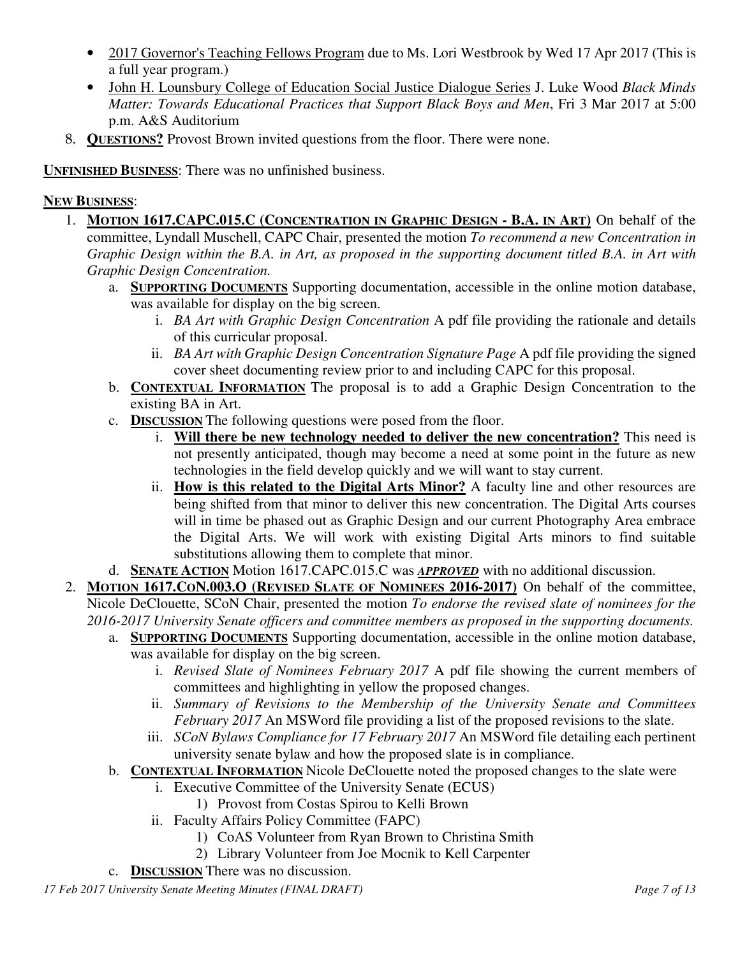- 2017 Governor's Teaching Fellows Program due to Ms. Lori Westbrook by Wed 17 Apr 2017 (This is a full year program.)
- John H. Lounsbury College of Education Social Justice Dialogue Series J. Luke Wood *Black Minds Matter: Towards Educational Practices that Support Black Boys and Men*, Fri 3 Mar 2017 at 5:00 p.m. A&S Auditorium
- 8. **QUESTIONS?** Provost Brown invited questions from the floor. There were none.

**UNFINISHED BUSINESS**: There was no unfinished business.

### **NEW BUSINESS**:

- 1. **MOTION 1617.CAPC.015.C (CONCENTRATION IN GRAPHIC DESIGN - B.A. IN ART)** On behalf of the committee, Lyndall Muschell, CAPC Chair, presented the motion *To recommend a new Concentration in Graphic Design within the B.A. in Art, as proposed in the supporting document titled B.A. in Art with Graphic Design Concentration.*
	- a. **SUPPORTING DOCUMENTS** Supporting documentation, accessible in the online motion database, was available for display on the big screen.
		- i. *BA Art with Graphic Design Concentration* A pdf file providing the rationale and details of this curricular proposal.
		- ii. *BA Art with Graphic Design Concentration Signature Page* A pdf file providing the signed cover sheet documenting review prior to and including CAPC for this proposal.
	- b. **CONTEXTUAL INFORMATION** The proposal is to add a Graphic Design Concentration to the existing BA in Art.
	- c. **DISCUSSION** The following questions were posed from the floor.
		- i. **Will there be new technology needed to deliver the new concentration?** This need is not presently anticipated, though may become a need at some point in the future as new technologies in the field develop quickly and we will want to stay current.
		- ii. **How is this related to the Digital Arts Minor?** A faculty line and other resources are being shifted from that minor to deliver this new concentration. The Digital Arts courses will in time be phased out as Graphic Design and our current Photography Area embrace the Digital Arts. We will work with existing Digital Arts minors to find suitable substitutions allowing them to complete that minor.
	- d. **SENATE ACTION** Motion 1617.CAPC.015.C was *APPROVED* with no additional discussion.
- 2. **MOTION 1617.CON.003.O (REVISED SLATE OF NOMINEES 2016-2017)** On behalf of the committee, Nicole DeClouette, SCoN Chair, presented the motion *To endorse the revised slate of nominees for the 2016-2017 University Senate officers and committee members as proposed in the supporting documents.*
	- a. **SUPPORTING DOCUMENTS** Supporting documentation, accessible in the online motion database, was available for display on the big screen.
		- i. *Revised Slate of Nominees February 2017* A pdf file showing the current members of committees and highlighting in yellow the proposed changes.
		- ii. *Summary of Revisions to the Membership of the University Senate and Committees February 2017* An MSWord file providing a list of the proposed revisions to the slate.
		- iii. *SCoN Bylaws Compliance for 17 February 2017* An MSWord file detailing each pertinent university senate bylaw and how the proposed slate is in compliance.
	- b. **CONTEXTUAL INFORMATION** Nicole DeClouette noted the proposed changes to the slate were
		- i. Executive Committee of the University Senate (ECUS)
			- 1) Provost from Costas Spirou to Kelli Brown
		- ii. Faculty Affairs Policy Committee (FAPC)
			- 1) CoAS Volunteer from Ryan Brown to Christina Smith
			- 2) Library Volunteer from Joe Mocnik to Kell Carpenter
	- c. **DISCUSSION** There was no discussion.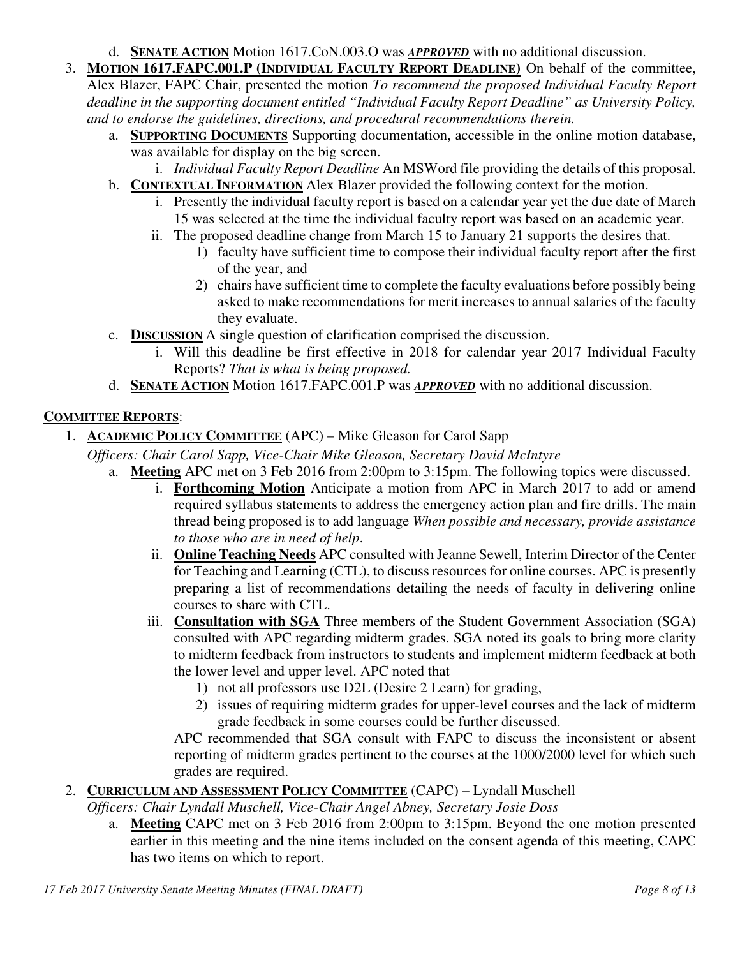- d. **SENATE ACTION** Motion 1617.CoN.003.O was *APPROVED* with no additional discussion.
- 3. **MOTION 1617.FAPC.001.P (INDIVIDUAL FACULTY REPORT DEADLINE)** On behalf of the committee, Alex Blazer, FAPC Chair, presented the motion *To recommend the proposed Individual Faculty Report deadline in the supporting document entitled "Individual Faculty Report Deadline" as University Policy, and to endorse the guidelines, directions, and procedural recommendations therein.*
	- a. **SUPPORTING DOCUMENTS** Supporting documentation, accessible in the online motion database, was available for display on the big screen.
		- i. *Individual Faculty Report Deadline* An MSWord file providing the details of this proposal.
	- b. **CONTEXTUAL INFORMATION** Alex Blazer provided the following context for the motion.
		- i. Presently the individual faculty report is based on a calendar year yet the due date of March 15 was selected at the time the individual faculty report was based on an academic year.
		- ii. The proposed deadline change from March 15 to January 21 supports the desires that.
			- 1) faculty have sufficient time to compose their individual faculty report after the first of the year, and
			- 2) chairs have sufficient time to complete the faculty evaluations before possibly being asked to make recommendations for merit increases to annual salaries of the faculty they evaluate.
	- c. **DISCUSSION** A single question of clarification comprised the discussion.
		- i. Will this deadline be first effective in 2018 for calendar year 2017 Individual Faculty Reports? *That is what is being proposed.*
	- d. **SENATE ACTION** Motion 1617.FAPC.001.P was *APPROVED* with no additional discussion.

## **COMMITTEE REPORTS**:

- 1. **ACADEMIC POLICY COMMITTEE** (APC) Mike Gleason for Carol Sapp
	- *Officers: Chair Carol Sapp, Vice-Chair Mike Gleason, Secretary David McIntyre*
		- a. **Meeting** APC met on 3 Feb 2016 from 2:00pm to 3:15pm. The following topics were discussed.
			- i. **Forthcoming Motion** Anticipate a motion from APC in March 2017 to add or amend required syllabus statements to address the emergency action plan and fire drills. The main thread being proposed is to add language *When possible and necessary, provide assistance to those who are in need of help*.
			- ii. **Online Teaching Needs** APC consulted with Jeanne Sewell, Interim Director of the Center for Teaching and Learning (CTL), to discuss resources for online courses. APC is presently preparing a list of recommendations detailing the needs of faculty in delivering online courses to share with CTL.
			- iii. **Consultation with SGA** Three members of the Student Government Association (SGA) consulted with APC regarding midterm grades. SGA noted its goals to bring more clarity to midterm feedback from instructors to students and implement midterm feedback at both the lower level and upper level. APC noted that
				- 1) not all professors use D2L (Desire 2 Learn) for grading,
				- 2) issues of requiring midterm grades for upper-level courses and the lack of midterm grade feedback in some courses could be further discussed.

APC recommended that SGA consult with FAPC to discuss the inconsistent or absent reporting of midterm grades pertinent to the courses at the 1000/2000 level for which such grades are required.

### 2. **CURRICULUM AND ASSESSMENT POLICY COMMITTEE** (CAPC) – Lyndall Muschell

*Officers: Chair Lyndall Muschell, Vice-Chair Angel Abney, Secretary Josie Doss* 

a. **Meeting** CAPC met on 3 Feb 2016 from 2:00pm to 3:15pm. Beyond the one motion presented earlier in this meeting and the nine items included on the consent agenda of this meeting, CAPC has two items on which to report.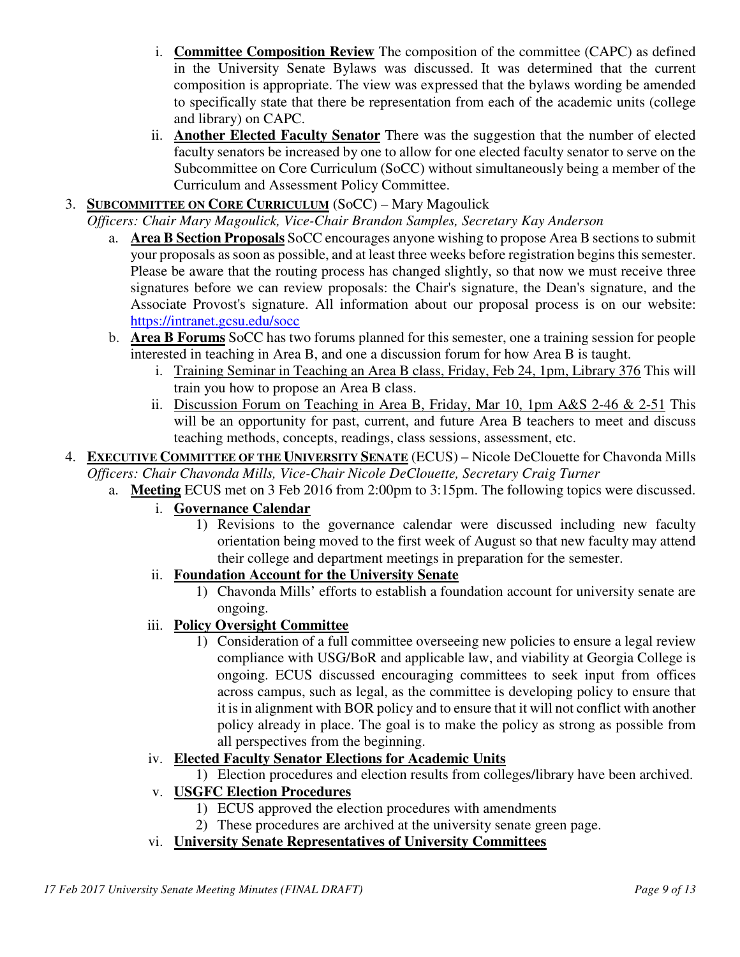- i. **Committee Composition Review** The composition of the committee (CAPC) as defined in the University Senate Bylaws was discussed. It was determined that the current composition is appropriate. The view was expressed that the bylaws wording be amended to specifically state that there be representation from each of the academic units (college and library) on CAPC.
- ii. **Another Elected Faculty Senator** There was the suggestion that the number of elected faculty senators be increased by one to allow for one elected faculty senator to serve on the Subcommittee on Core Curriculum (SoCC) without simultaneously being a member of the Curriculum and Assessment Policy Committee.
- 3. **SUBCOMMITTEE ON CORE CURRICULUM** (SoCC) Mary Magoulick

*Officers: Chair Mary Magoulick, Vice-Chair Brandon Samples, Secretary Kay Anderson*

- a. **Area B Section Proposals** SoCC encourages anyone wishing to propose Area B sections to submit your proposals as soon as possible, and at least three weeks before registration begins this semester. Please be aware that the routing process has changed slightly, so that now we must receive three signatures before we can review proposals: the Chair's signature, the Dean's signature, and the Associate Provost's signature. All information about our proposal process is on our website: https://intranet.gcsu.edu/socc
- b. **Area B Forums** SoCC has two forums planned for this semester, one a training session for people interested in teaching in Area B, and one a discussion forum for how Area B is taught.
	- i. Training Seminar in Teaching an Area B class, Friday, Feb 24, 1pm, Library 376 This will train you how to propose an Area B class.
	- ii. Discussion Forum on Teaching in Area B, Friday, Mar 10, 1pm A&S 2-46 & 2-51 This will be an opportunity for past, current, and future Area B teachers to meet and discuss teaching methods, concepts, readings, class sessions, assessment, etc.
- 4. **EXECUTIVE COMMITTEE OF THE UNIVERSITY SENATE** (ECUS) Nicole DeClouette for Chavonda Mills *Officers: Chair Chavonda Mills, Vice-Chair Nicole DeClouette, Secretary Craig Turner*
	- a. **Meeting** ECUS met on 3 Feb 2016 from 2:00pm to 3:15pm. The following topics were discussed.
		- i. **Governance Calendar**
			- 1) Revisions to the governance calendar were discussed including new faculty orientation being moved to the first week of August so that new faculty may attend their college and department meetings in preparation for the semester.
		- ii. **Foundation Account for the University Senate**
			- 1) Chavonda Mills' efforts to establish a foundation account for university senate are ongoing.
		- iii. **Policy Oversight Committee**
			- 1) Consideration of a full committee overseeing new policies to ensure a legal review compliance with USG/BoR and applicable law, and viability at Georgia College is ongoing. ECUS discussed encouraging committees to seek input from offices across campus, such as legal, as the committee is developing policy to ensure that it is in alignment with BOR policy and to ensure that it will not conflict with another policy already in place. The goal is to make the policy as strong as possible from all perspectives from the beginning.
		- iv. **Elected Faculty Senator Elections for Academic Units**
			- 1) Election procedures and election results from colleges/library have been archived.
		- v. **USGFC Election Procedures**
			- 1) ECUS approved the election procedures with amendments
			- 2) These procedures are archived at the university senate green page.
		- vi. **University Senate Representatives of University Committees**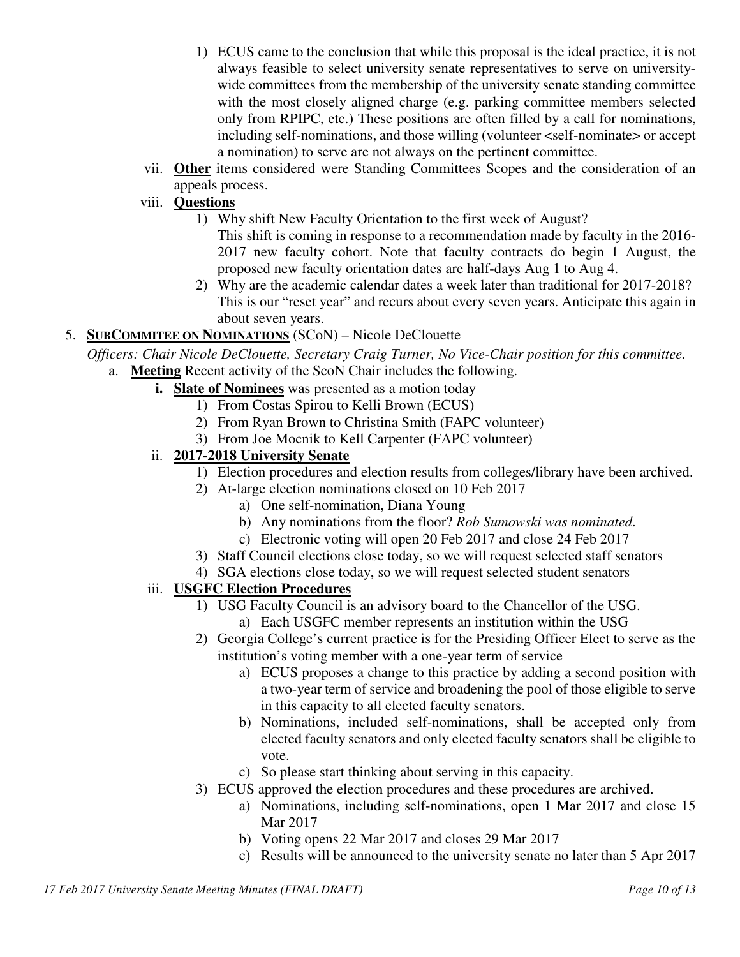- 1) ECUS came to the conclusion that while this proposal is the ideal practice, it is not always feasible to select university senate representatives to serve on universitywide committees from the membership of the university senate standing committee with the most closely aligned charge (e.g. parking committee members selected only from RPIPC, etc.) These positions are often filled by a call for nominations, including self-nominations, and those willing (volunteer <self-nominate> or accept a nomination) to serve are not always on the pertinent committee.
- vii. **Other** items considered were Standing Committees Scopes and the consideration of an appeals process.
- viii. **Questions**
	- 1) Why shift New Faculty Orientation to the first week of August? This shift is coming in response to a recommendation made by faculty in the 2016- 2017 new faculty cohort. Note that faculty contracts do begin 1 August, the proposed new faculty orientation dates are half-days Aug 1 to Aug 4.
	- 2) Why are the academic calendar dates a week later than traditional for 2017-2018? This is our "reset year" and recurs about every seven years. Anticipate this again in about seven years.
- 5. **SUBCOMMITEE ON NOMINATIONS** (SCoN) Nicole DeClouette
	- *Officers: Chair Nicole DeClouette, Secretary Craig Turner, No Vice-Chair position for this committee.* a. **Meeting** Recent activity of the ScoN Chair includes the following.
		- **i. Slate of Nominees** was presented as a motion today
			- 1) From Costas Spirou to Kelli Brown (ECUS)
			- 2) From Ryan Brown to Christina Smith (FAPC volunteer)
			- 3) From Joe Mocnik to Kell Carpenter (FAPC volunteer)
		- ii. **2017-2018 University Senate**
			- 1) Election procedures and election results from colleges/library have been archived.
			- 2) At-large election nominations closed on 10 Feb 2017
				- a) One self-nomination, Diana Young
				- b) Any nominations from the floor? *Rob Sumowski was nominated*.
				- c) Electronic voting will open 20 Feb 2017 and close 24 Feb 2017
			- 3) Staff Council elections close today, so we will request selected staff senators
			- 4) SGA elections close today, so we will request selected student senators

#### iii. **USGFC Election Procedures**

- 1) USG Faculty Council is an advisory board to the Chancellor of the USG.
	- a) Each USGFC member represents an institution within the USG
- 2) Georgia College's current practice is for the Presiding Officer Elect to serve as the institution's voting member with a one-year term of service
	- a) ECUS proposes a change to this practice by adding a second position with a two-year term of service and broadening the pool of those eligible to serve in this capacity to all elected faculty senators.
	- b) Nominations, included self-nominations, shall be accepted only from elected faculty senators and only elected faculty senators shall be eligible to vote.
	- c) So please start thinking about serving in this capacity.
- 3) ECUS approved the election procedures and these procedures are archived.
	- a) Nominations, including self-nominations, open 1 Mar 2017 and close 15 Mar 2017
	- b) Voting opens 22 Mar 2017 and closes 29 Mar 2017
	- c) Results will be announced to the university senate no later than 5 Apr 2017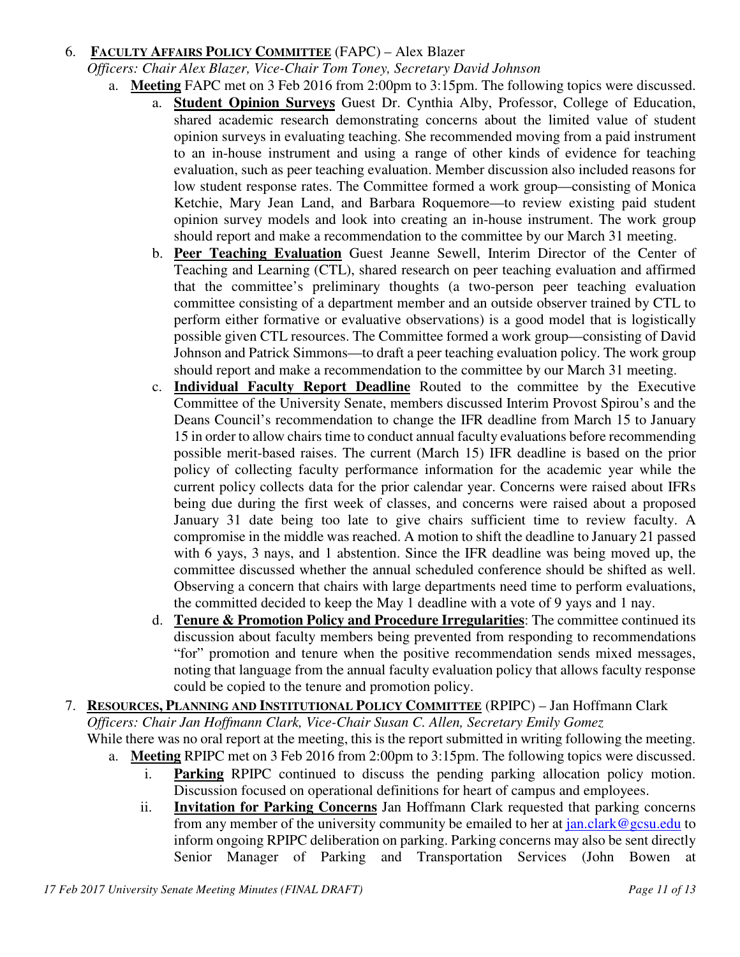### 6. **FACULTY AFFAIRS POLICY COMMITTEE** (FAPC) – Alex Blazer

*Officers: Chair Alex Blazer, Vice-Chair Tom Toney, Secretary David Johnson*

- a. **Meeting** FAPC met on 3 Feb 2016 from 2:00pm to 3:15pm. The following topics were discussed.
	- a. **Student Opinion Surveys** Guest Dr. Cynthia Alby, Professor, College of Education, shared academic research demonstrating concerns about the limited value of student opinion surveys in evaluating teaching. She recommended moving from a paid instrument to an in-house instrument and using a range of other kinds of evidence for teaching evaluation, such as peer teaching evaluation. Member discussion also included reasons for low student response rates. The Committee formed a work group—consisting of Monica Ketchie, Mary Jean Land, and Barbara Roquemore—to review existing paid student opinion survey models and look into creating an in-house instrument. The work group should report and make a recommendation to the committee by our March 31 meeting.
	- b. **Peer Teaching Evaluation** Guest Jeanne Sewell, Interim Director of the Center of Teaching and Learning (CTL), shared research on peer teaching evaluation and affirmed that the committee's preliminary thoughts (a two-person peer teaching evaluation committee consisting of a department member and an outside observer trained by CTL to perform either formative or evaluative observations) is a good model that is logistically possible given CTL resources. The Committee formed a work group—consisting of David Johnson and Patrick Simmons—to draft a peer teaching evaluation policy. The work group should report and make a recommendation to the committee by our March 31 meeting.
	- c. **Individual Faculty Report Deadline** Routed to the committee by the Executive Committee of the University Senate, members discussed Interim Provost Spirou's and the Deans Council's recommendation to change the IFR deadline from March 15 to January 15 in order to allow chairs time to conduct annual faculty evaluations before recommending possible merit-based raises. The current (March 15) IFR deadline is based on the prior policy of collecting faculty performance information for the academic year while the current policy collects data for the prior calendar year. Concerns were raised about IFRs being due during the first week of classes, and concerns were raised about a proposed January 31 date being too late to give chairs sufficient time to review faculty. A compromise in the middle was reached. A motion to shift the deadline to January 21 passed with 6 yays, 3 nays, and 1 abstention. Since the IFR deadline was being moved up, the committee discussed whether the annual scheduled conference should be shifted as well. Observing a concern that chairs with large departments need time to perform evaluations, the committed decided to keep the May 1 deadline with a vote of 9 yays and 1 nay.
	- d. **Tenure & Promotion Policy and Procedure Irregularities**: The committee continued its discussion about faculty members being prevented from responding to recommendations "for" promotion and tenure when the positive recommendation sends mixed messages, noting that language from the annual faculty evaluation policy that allows faculty response could be copied to the tenure and promotion policy.
- 7. **RESOURCES, PLANNING AND INSTITUTIONAL POLICY COMMITTEE** (RPIPC) Jan Hoffmann Clark *Officers: Chair Jan Hoffmann Clark, Vice-Chair Susan C. Allen, Secretary Emily Gomez*  While there was no oral report at the meeting, this is the report submitted in writing following the meeting.
	- a. **Meeting** RPIPC met on 3 Feb 2016 from 2:00pm to 3:15pm. The following topics were discussed.
		- i. **Parking** RPIPC continued to discuss the pending parking allocation policy motion. Discussion focused on operational definitions for heart of campus and employees.
		- ii. **Invitation for Parking Concerns** Jan Hoffmann Clark requested that parking concerns from any member of the university community be emailed to her at  $jan.class@gesu.edu$  to inform ongoing RPIPC deliberation on parking. Parking concerns may also be sent directly Senior Manager of Parking and Transportation Services (John Bowen at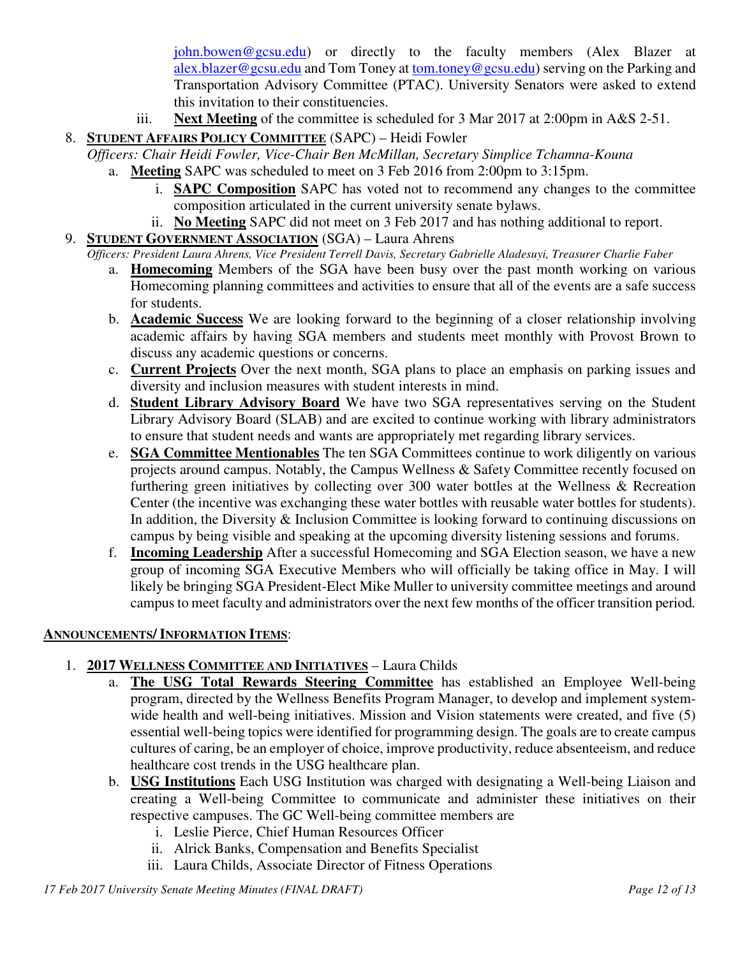john.bowen@gcsu.edu) or directly to the faculty members (Alex Blazer at alex.blazer@gcsu.edu and Tom Toney at tom.toney@gcsu.edu) serving on the Parking and Transportation Advisory Committee (PTAC). University Senators were asked to extend this invitation to their constituencies.

iii. **Next Meeting** of the committee is scheduled for 3 Mar 2017 at 2:00pm in A&S 2-51.

# 8. **STUDENT AFFAIRS POLICY COMMITTEE** (SAPC) – Heidi Fowler

- *Officers: Chair Heidi Fowler, Vice-Chair Ben McMillan, Secretary Simplice Tchamna-Kouna*
	- a. **Meeting** SAPC was scheduled to meet on 3 Feb 2016 from 2:00pm to 3:15pm.
		- i. **SAPC Composition** SAPC has voted not to recommend any changes to the committee composition articulated in the current university senate bylaws.
		- ii. **No Meeting** SAPC did not meet on 3 Feb 2017 and has nothing additional to report.
- 9. **STUDENT GOVERNMENT ASSOCIATION** (SGA) Laura Ahrens
- *Officers: President Laura Ahrens, Vice President Terrell Davis, Secretary Gabrielle Aladesuyi, Treasurer Charlie Faber*
	- a. **Homecoming** Members of the SGA have been busy over the past month working on various Homecoming planning committees and activities to ensure that all of the events are a safe success for students.
	- b. **Academic Success** We are looking forward to the beginning of a closer relationship involving academic affairs by having SGA members and students meet monthly with Provost Brown to discuss any academic questions or concerns.
	- c. **Current Projects** Over the next month, SGA plans to place an emphasis on parking issues and diversity and inclusion measures with student interests in mind.
	- d. **Student Library Advisory Board** We have two SGA representatives serving on the Student Library Advisory Board (SLAB) and are excited to continue working with library administrators to ensure that student needs and wants are appropriately met regarding library services.
	- e. **SGA Committee Mentionables** The ten SGA Committees continue to work diligently on various projects around campus. Notably, the Campus Wellness & Safety Committee recently focused on furthering green initiatives by collecting over 300 water bottles at the Wellness & Recreation Center (the incentive was exchanging these water bottles with reusable water bottles for students). In addition, the Diversity  $\&$  Inclusion Committee is looking forward to continuing discussions on campus by being visible and speaking at the upcoming diversity listening sessions and forums.
	- f. **Incoming Leadership** After a successful Homecoming and SGA Election season, we have a new group of incoming SGA Executive Members who will officially be taking office in May. I will likely be bringing SGA President-Elect Mike Muller to university committee meetings and around campus to meet faculty and administrators over the next few months of the officer transition period*.*

## **ANNOUNCEMENTS/ INFORMATION ITEMS**:

# 1. **2017 WELLNESS COMMITTEE AND INITIATIVES** – Laura Childs

- a. **The USG Total Rewards Steering Committee** has established an Employee Well-being program, directed by the Wellness Benefits Program Manager, to develop and implement systemwide health and well-being initiatives. Mission and Vision statements were created, and five (5) essential well-being topics were identified for programming design. The goals are to create campus cultures of caring, be an employer of choice, improve productivity, reduce absenteeism, and reduce healthcare cost trends in the USG healthcare plan.
- b. **USG Institutions** Each USG Institution was charged with designating a Well-being Liaison and creating a Well-being Committee to communicate and administer these initiatives on their respective campuses. The GC Well-being committee members are
	- i. Leslie Pierce, Chief Human Resources Officer
	- ii. Alrick Banks, Compensation and Benefits Specialist
	- iii. Laura Childs, Associate Director of Fitness Operations